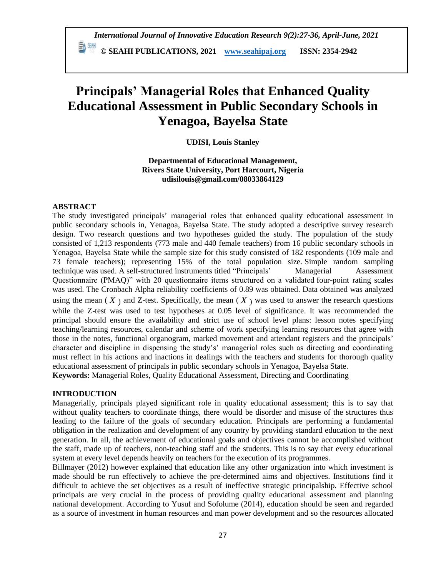# **Principals' Managerial Roles that Enhanced Quality Educational Assessment in Public Secondary Schools in Yenagoa, Bayelsa State**

**UDISI, Louis Stanley**

**Departmental of Educational Management, Rivers State University, Port Harcourt, Nigeria udisilouis@gmail.com/08033864129**

## **ABSTRACT**

The study investigated principals" managerial roles that enhanced quality educational assessment in public secondary schools in, Yenagoa, Bayelsa State. The study adopted a descriptive survey research design. Two research questions and two hypotheses guided the study. The population of the study consisted of 1,213 respondents (773 male and 440 female teachers) from 16 public secondary schools in Yenagoa, Bayelsa State while the sample size for this study consisted of 182 respondents (109 male and 73 female teachers); representing 15% of the total population size. Simple random sampling technique was used. A self-structured instruments titled "Principals" Managerial Assessment Questionnaire (PMAQ)" with 20 questionnaire items structured on a validated four-point rating scales was used. The Cronbach Alpha reliability coefficients of 0.89 was obtained. Data obtained was analyzed using the mean ( $\overline{X}$ ) and Z-test. Specifically, the mean ( $\overline{X}$ ) was used to answer the research questions while the Z-test was used to test hypotheses at 0.05 level of significance. It was recommended the principal should ensure the availability and strict use of school level plans: lesson notes specifying teaching/learning resources, calendar and scheme of work specifying learning resources that agree with those in the notes, functional organogram, marked movement and attendant registers and the principals" character and discipline in dispensing the study"s" managerial roles such as directing and coordinating must reflect in his actions and inactions in dealings with the teachers and students for thorough quality educational assessment of principals in public secondary schools in Yenagoa, Bayelsa State. **Keywords:** Managerial Roles, Quality Educational Assessment, Directing and Coordinating

## **INTRODUCTION**

Managerially, principals played significant role in quality educational assessment; this is to say that without quality teachers to coordinate things, there would be disorder and misuse of the structures thus leading to the failure of the goals of secondary education. Principals are performing a fundamental obligation in the realization and development of any country by providing standard education to the next generation. In all, the achievement of educational goals and objectives cannot be accomplished without the staff, made up of teachers, non-teaching staff and the students. This is to say that every educational system at every level depends heavily on teachers for the execution of its programmes.

Billmayer (2012) however explained that education like any other organization into which investment is made should be run effectively to achieve the pre-determined aims and objectives. Institutions find it difficult to achieve the set objectives as a result of ineffective strategic principalship. Effective school principals are very crucial in the process of providing quality educational assessment and planning national development. According to Yusuf and Sofolume (2014), education should be seen and regarded as a source of investment in human resources and man power development and so the resources allocated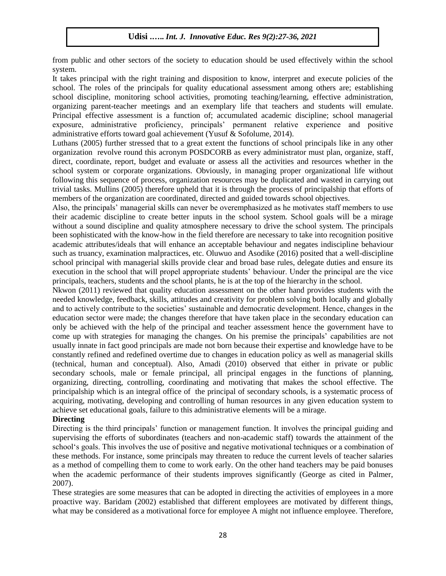from public and other sectors of the society to education should be used effectively within the school system.

It takes principal with the right training and disposition to know, interpret and execute policies of the school. The roles of the principals for quality educational assessment among others are; establishing school discipline, monitoring school activities, promoting teaching/learning, effective administration, organizing parent-teacher meetings and an exemplary life that teachers and students will emulate. Principal effective assessment is a function of; accumulated academic discipline; school managerial exposure, administrative proficiency, principals" permanent relative experience and positive administrative efforts toward goal achievement (Yusuf & Sofolume, 2014).

Luthans (2005) further stressed that to a great extent the functions of school principals like in any other organization revolve round this acronym POSDCORB as every administrator must plan, organize, staff, direct, coordinate, report, budget and evaluate or assess all the activities and resources whether in the school system or corporate organizations. Obviously, in managing proper organizational life without following this sequence of process, organization resources may be duplicated and wasted in carrying out trivial tasks. Mullins (2005) therefore upheld that it is through the process of principalship that efforts of members of the organization are coordinated, directed and guided towards school objectives.

Also, the principals" managerial skills can never be overemphasized as he motivates staff members to use their academic discipline to create better inputs in the school system. School goals will be a mirage without a sound discipline and quality atmosphere necessary to drive the school system. The principals been sophisticated with the know-how in the field therefore are necessary to take into recognition positive academic attributes/ideals that will enhance an acceptable behaviour and negates indiscipline behaviour such as truancy, examination malpractices, etc. Oluwuo and Asodike (2016) posited that a well-discipline school principal with managerial skills provide clear and broad base rules, delegate duties and ensure its execution in the school that will propel appropriate students' behaviour. Under the principal are the vice principals, teachers, students and the school plants, he is at the top of the hierarchy in the school.

Nkwon (2011) reviewed that quality education assessment on the other hand provides students with the needed knowledge, feedback, skills, attitudes and creativity for problem solving both locally and globally and to actively contribute to the societies" sustainable and democratic development. Hence, changes in the education sector were made; the changes therefore that have taken place in the secondary education can only be achieved with the help of the principal and teacher assessment hence the government have to come up with strategies for managing the changes. On his premise the principals" capabilities are not usually innate in fact good principals are made not born because their expertise and knowledge have to be constantly refined and redefined overtime due to changes in education policy as well as managerial skills (technical, human and conceptual). Also, Amadi (2010) observed that either in private or public secondary schools, male or female principal, all principal engages in the functions of planning, organizing, directing, controlling, coordinating and motivating that makes the school effective. The principalship which is an integral office of the principal of secondary schools, is a systematic process of acquiring, motivating, developing and controlling of human resources in any given education system to achieve set educational goals, failure to this administrative elements will be a mirage.

## **Directing**

Directing is the third principals" function or management function. It involves the principal guiding and supervising the efforts of subordinates (teachers and non-academic staff) towards the attainment of the school"s goals. This involves the use of positive and negative motivational techniques or a combination of these methods. For instance, some principals may threaten to reduce the current levels of teacher salaries as a method of compelling them to come to work early. On the other hand teachers may be paid bonuses when the academic performance of their students improves significantly (George as cited in Palmer, 2007).

These strategies are some measures that can be adopted in directing the activities of employees in a more proactive way. Baridam (2002) established that different employees are motivated by different things, what may be considered as a motivational force for employee A might not influence employee. Therefore,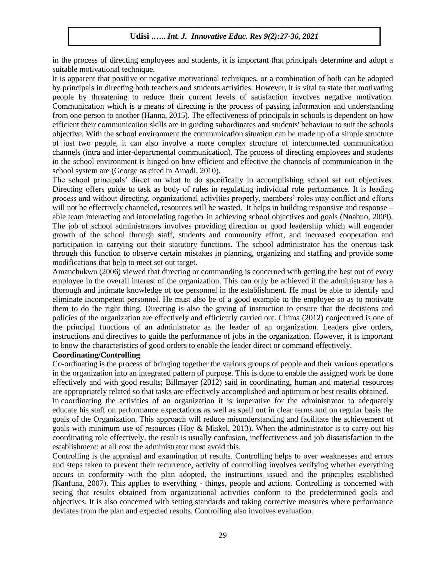in the process of directing employees and students, it is important that principals determine and adopt a suitable motivational technique.

It is apparent that positive or negative motivational techniques, or a combination of both can be adopted by principals in directing both teachers and students activities. However, it is vital to state that motivating people by threatening to reduce their current levels of satisfaction involves negative motivation. Communication which is a means of directing is the process of passing information and understanding from one person to another (Hanna, 2015). The effectiveness of principals in schools is dependent on how efficient their communication skills are in guiding subordinates and students' behaviour to suit the schools objective. With the school environment the communication situation can be made up of a simple structure of just two people, it can also involve a more complex structure of interconnected communication channels (intra and inter-departmental communication). The process of directing employees and students in the school environment is hinged on how efficient and effective the channels of communication in the school system are (George as cited in Amadi, 2010).

The school principals" direct on what to do specifically in accomplishing school set out objectives. Directing offers guide to task as body of rules in regulating individual role performance. It is leading process and without directing, organizational activities properly, members" roles may conflict and efforts will not be effectively channeled, resources will be wasted. It helps in building responsive and response – able team interacting and interrelating together in achieving school objectives and goals (Nnabuo, 2009). The job of school administrators involves providing direction or good leadership which will engender growth of the school through staff, students and community effort, and increased cooperation and participation in carrying out their statutory functions. The school administrator has the onerous task through this function to observe certain mistakes in planning, organizing and staffing and provide some modifications that help to meet set out target.

Amanchukwu (2006) viewed that directing or commanding is concerned with getting the best out of every employee in the overall interest of the organization. This can only be achieved if the administrator has a thorough and intimate knowledge of toe personnel in the establishment. He must be able to identify and eliminate incompetent personnel. He must also be of a good example to the employee so as to motivate them to do the right thing. Directing is also the giving of instruction to ensure that the decisions and policies of the organization are effectively and efficiently carried out. Chima (2012) conjectured is one of the principal functions of an administrator as the leader of an organization. Leaders give orders, instructions and directives to guide the performance of jobs in the organization. However, it is important to know the characteristics of good orders to enable the leader direct or command effectively.

#### **Coordinating/Controlling**

Co-ordinating is the process of bringing together the various groups of people and their various operations in the organization into an integrated pattern of purpose. This is done to enable the assigned work be done effectively and with good results; Billmayer (2012) said in coordinating, human and material resources are appropriately related so that tasks are effectively accomplished and optimum or best results obtained.

In coordinating the activities of an organization it is imperative for the administrator to adequately educate his staff on performance expectations as well as spell out in clear terms and on regular basis the goals of the Organization. This approach will reduce misunderstanding and facilitate the achievement of goals with minimum use of resources (Hoy & Miskel, 2013). When the administrator is to carry out his coordinating role effectively, the result is usually confusion, ineffectiveness and job dissatisfaction in the establishment; at all cost the administrator must avoid this.

Controlling is the appraisal and examination of results. Controlling helps to over weaknesses and errors and steps taken to prevent their recurrence, activity of controlling involves verifying whether everything occurs in conformity with the plan adopted, the instructions issued and the principles established (Kanfuna, 2007). This applies to everything - things, people and actions. Controlling is concerned with seeing that results obtained from organizational activities conform to the predetermined goals and objectives. It is also concerned with setting standards and taking corrective measures where performance deviates from the plan and expected results. Controlling also involves evaluation.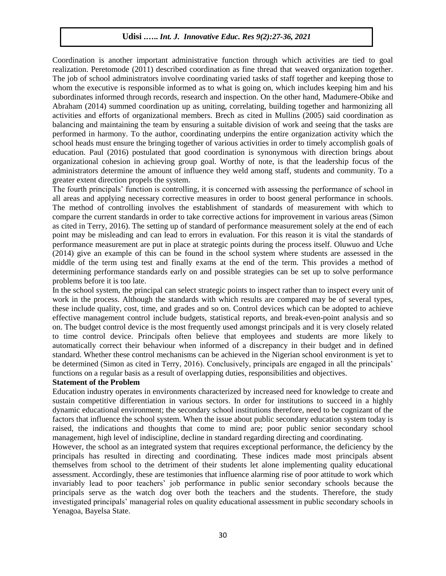Coordination is another important administrative function through which activities are tied to goal realization. Peretomode (2011) described coordination as fine thread that weaved organization together. The job of school administrators involve coordinating varied tasks of staff together and keeping those to whom the executive is responsible informed as to what is going on, which includes keeping him and his subordinates informed through records, research and inspection. On the other hand, Madumere-Obike and Abraham (2014) summed coordination up as uniting, correlating, building together and harmonizing all activities and efforts of organizational members. Brech as cited in Mullins (2005) said coordination as balancing and maintaining the team by ensuring a suitable division of work and seeing that the tasks are performed in harmony. To the author, coordinating underpins the entire organization activity which the school heads must ensure the bringing together of various activities in order to timely accomplish goals of education. Paul (2016) postulated that good coordination is synonymous with direction brings about organizational cohesion in achieving group goal. Worthy of note, is that the leadership focus of the administrators determine the amount of influence they weld among staff, students and community. To a greater extent direction propels the system.

The fourth principals" function is controlling, it is concerned with assessing the performance of school in all areas and applying necessary corrective measures in order to boost general performance in schools. The method of controlling involves the establishment of standards of measurement with which to compare the current standards in order to take corrective actions for improvement in various areas (Simon as cited in Terry, 2016). The setting up of standard of performance measurement solely at the end of each point may be misleading and can lead to errors in evaluation. For this reason it is vital the standards of performance measurement are put in place at strategic points during the process itself. Oluwuo and Uche (2014) give an example of this can be found in the school system where students are assessed in the middle of the term using test and finally exams at the end of the term. This provides a method of determining performance standards early on and possible strategies can be set up to solve performance problems before it is too late.

In the school system, the principal can select strategic points to inspect rather than to inspect every unit of work in the process. Although the standards with which results are compared may be of several types, these include quality, cost, time, and grades and so on. Control devices which can be adopted to achieve effective management control include budgets, statistical reports, and break-even-point analysis and so on. The budget control device is the most frequently used amongst principals and it is very closely related to time control device. Principals often believe that employees and students are more likely to automatically correct their behaviour when informed of a discrepancy in their budget and in defined standard. Whether these control mechanisms can be achieved in the Nigerian school environment is yet to be determined (Simon as cited in Terry, 2016). Conclusively, principals are engaged in all the principals' functions on a regular basis as a result of overlapping duties, responsibilities and objectives.

#### **Statement of the Problem**

Education industry operates in environments characterized by increased need for knowledge to create and sustain competitive differentiation in various sectors. In order for institutions to succeed in a highly dynamic educational environment; the secondary school institutions therefore, need to be cognizant of the factors that influence the school system. When the issue about public secondary education system today is raised, the indications and thoughts that come to mind are; poor public senior secondary school management, high level of indiscipline, decline in standard regarding directing and coordinating.

However, the school as an integrated system that requires exceptional performance, the deficiency by the principals has resulted in directing and coordinating. These indices made most principals absent themselves from school to the detriment of their students let alone implementing quality educational assessment. Accordingly, these are testimonies that influence alarming rise of poor attitude to work which invariably lead to poor teachers" job performance in public senior secondary schools because the principals serve as the watch dog over both the teachers and the students. Therefore, the study investigated principals" managerial roles on quality educational assessment in public secondary schools in Yenagoa, Bayelsa State.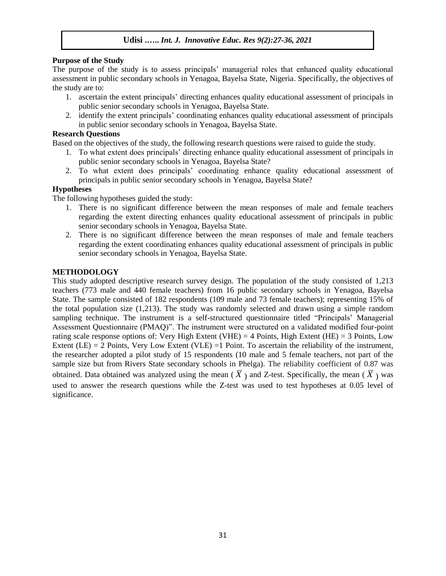## **Purpose of the Study**

The purpose of the study is to assess principals" managerial roles that enhanced quality educational assessment in public secondary schools in Yenagoa, Bayelsa State, Nigeria. Specifically, the objectives of the study are to:

- 1. ascertain the extent principals" directing enhances quality educational assessment of principals in public senior secondary schools in Yenagoa, Bayelsa State.
- 2. identify the extent principals" coordinating enhances quality educational assessment of principals in public senior secondary schools in Yenagoa, Bayelsa State.

## **Research Questions**

Based on the objectives of the study, the following research questions were raised to guide the study.

- 1. To what extent does principals" directing enhance quality educational assessment of principals in public senior secondary schools in Yenagoa, Bayelsa State?
- 2. To what extent does principals" coordinating enhance quality educational assessment of principals in public senior secondary schools in Yenagoa, Bayelsa State?

## **Hypotheses**

The following hypotheses guided the study:

- 1. There is no significant difference between the mean responses of male and female teachers regarding the extent directing enhances quality educational assessment of principals in public senior secondary schools in Yenagoa, Bayelsa State.
- 2. There is no significant difference between the mean responses of male and female teachers regarding the extent coordinating enhances quality educational assessment of principals in public senior secondary schools in Yenagoa, Bayelsa State.

## **METHODOLOGY**

This study adopted descriptive research survey design. The population of the study consisted of 1,213 teachers (773 male and 440 female teachers) from 16 public secondary schools in Yenagoa, Bayelsa State. The sample consisted of 182 respondents (109 male and 73 female teachers); representing 15% of the total population size (1,213). The study was randomly selected and drawn using a simple random sampling technique. The instrument is a self-structured questionnaire titled "Principals" Managerial Assessment Questionnaire (PMAQ)". The instrument were structured on a validated modified four-point rating scale response options of: Very High Extent (VHE) = 4 Points, High Extent (HE) = 3 Points, Low Extent (LE) =  $\overline{2}$  Points, Very Low Extent (VLE) = 1 Point. To ascertain the reliability of the instrument, the researcher adopted a pilot study of 15 respondents (10 male and 5 female teachers, not part of the sample size but from Rivers State secondary schools in Phelga). The reliability coefficient of 0.87 was obtained. Data obtained was analyzed using the mean ( $\overline{X}$ ) and Z-test. Specifically, the mean ( $\overline{X}$ ) was used to answer the research questions while the Z-test was used to test hypotheses at 0.05 level of significance.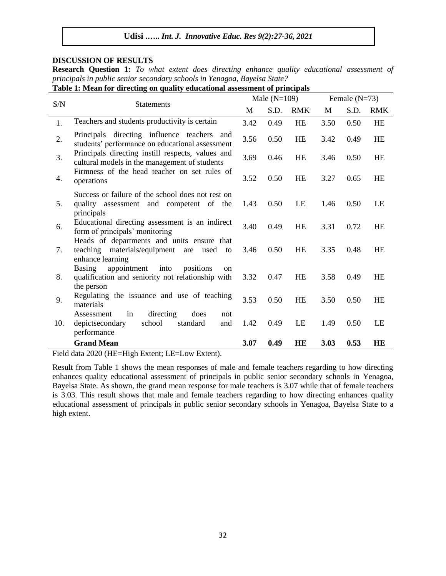## **DISCUSSION OF RESULTS**

**Research Question 1:** *To what extent does directing enhance quality educational assessment of principals in public senior secondary schools in Yenagoa, Bayelsa State?* 

**Table 1: Mean for directing on quality educational assessment of principals**

|     | <b>Statements</b>                                                                                                              |      | Male $(N=109)$ |           |      | Female $(N=73)$ |            |  |
|-----|--------------------------------------------------------------------------------------------------------------------------------|------|----------------|-----------|------|-----------------|------------|--|
| S/N |                                                                                                                                |      | S.D.           | RMK       | M    | S.D.            | <b>RMK</b> |  |
| 1.  | Teachers and students productivity is certain                                                                                  | 3.42 | 0.49           | <b>HE</b> | 3.50 | 0.50            | <b>HE</b>  |  |
| 2.  | Principals directing influence teachers<br>and<br>students' performance on educational assessment                              | 3.56 | 0.50           | <b>HE</b> | 3.42 | 0.49            | HE         |  |
| 3.  | Principals directing instill respects, values and<br>cultural models in the management of students                             | 3.69 | 0.46           | <b>HE</b> | 3.46 | 0.50            | <b>HE</b>  |  |
| 4.  | Firmness of the head teacher on set rules of<br>operations                                                                     | 3.52 | 0.50           | <b>HE</b> | 3.27 | 0.65            | <b>HE</b>  |  |
| 5.  | Success or failure of the school does not rest on<br>quality assessment and competent of the<br>principals                     | 1.43 | 0.50           | LE        | 1.46 | 0.50            | LE         |  |
| 6.  | Educational directing assessment is an indirect<br>form of principals' monitoring                                              | 3.40 | 0.49           | <b>HE</b> | 3.31 | 0.72            | <b>HE</b>  |  |
| 7.  | Heads of departments and units ensure that<br>teaching materials/equipment<br>used<br>are<br>to<br>enhance learning            | 3.46 | 0.50           | HE        | 3.35 | 0.48            | <b>HE</b>  |  |
| 8.  | appointment<br>Basing<br>into<br>positions<br><sub>on</sub><br>qualification and seniority not relationship with<br>the person | 3.32 | 0.47           | HE        | 3.58 | 0.49            | <b>HE</b>  |  |
| 9.  | Regulating the issuance and use of teaching<br>materials                                                                       | 3.53 | 0.50           | <b>HE</b> | 3.50 | 0.50            | <b>HE</b>  |  |
| 10. | in<br>directing<br>Assessment<br>does<br>not<br>depictsecondary<br>school<br>standard<br>and<br>performance                    | 1.42 | 0.49           | LE        | 1.49 | 0.50            | LE         |  |
|     | <b>Grand Mean</b>                                                                                                              | 3.07 | 0.49           | <b>HE</b> | 3.03 | 0.53            | HE         |  |

Field data 2020 (HE=High Extent; LE=Low Extent).

Result from Table 1 shows the mean responses of male and female teachers regarding to how directing enhances quality educational assessment of principals in public senior secondary schools in Yenagoa, Bayelsa State. As shown, the grand mean response for male teachers is 3.07 while that of female teachers is 3.03. This result shows that male and female teachers regarding to how directing enhances quality educational assessment of principals in public senior secondary schools in Yenagoa, Bayelsa State to a high extent.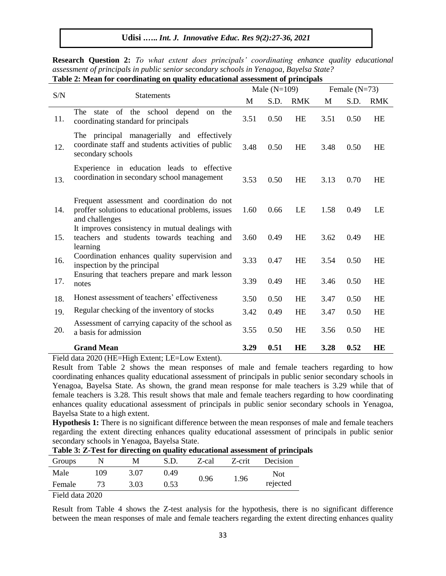| галк 2. вкан юг соогоналид он quanty соосанонагазмзянсны огргнизрам |                                                                                                                       |      |                |            |      |                 |            |  |  |
|---------------------------------------------------------------------|-----------------------------------------------------------------------------------------------------------------------|------|----------------|------------|------|-----------------|------------|--|--|
| S/N                                                                 | <b>Statements</b>                                                                                                     |      | Male $(N=109)$ |            |      | Female $(N=73)$ |            |  |  |
|                                                                     |                                                                                                                       |      | S.D.           | <b>RMK</b> | M    | S.D.            | <b>RMK</b> |  |  |
| 11.                                                                 | state of the school depend<br>The<br>the<br><sub>on</sub><br>coordinating standard for principals                     | 3.51 | 0.50           | <b>HE</b>  | 3.51 | 0.50            | <b>HE</b>  |  |  |
| 12.                                                                 | The principal managerially and effectively<br>coordinate staff and students activities of public<br>secondary schools | 3.48 | 0.50           | HE         | 3.48 | 0.50            | <b>HE</b>  |  |  |
| 13.                                                                 | Experience in education leads to effective<br>coordination in secondary school management                             | 3.53 | 0.50           | <b>HE</b>  | 3.13 | 0.70            | <b>HE</b>  |  |  |
| 14.                                                                 | Frequent assessment and coordination do not<br>proffer solutions to educational problems, issues<br>and challenges    | 1.60 | 0.66           | LE         | 1.58 | 0.49            | LE         |  |  |
| 15.                                                                 | It improves consistency in mutual dealings with<br>teachers and students towards teaching and<br>learning             | 3.60 | 0.49           | <b>HE</b>  | 3.62 | 0.49            | <b>HE</b>  |  |  |
| 16.                                                                 | Coordination enhances quality supervision and<br>inspection by the principal                                          | 3.33 | 0.47           | <b>HE</b>  | 3.54 | 0.50            | <b>HE</b>  |  |  |
| 17.                                                                 | Ensuring that teachers prepare and mark lesson<br>notes                                                               | 3.39 | 0.49           | <b>HE</b>  | 3.46 | 0.50            | <b>HE</b>  |  |  |
| 18.                                                                 | Honest assessment of teachers' effectiveness                                                                          | 3.50 | 0.50           | <b>HE</b>  | 3.47 | 0.50            | HE         |  |  |
| 19.                                                                 | Regular checking of the inventory of stocks                                                                           | 3.42 | 0.49           | <b>HE</b>  | 3.47 | 0.50            | <b>HE</b>  |  |  |
| 20.                                                                 | Assessment of carrying capacity of the school as<br>a basis for admission                                             | 3.55 | 0.50           | <b>HE</b>  | 3.56 | 0.50            | HE         |  |  |
|                                                                     | <b>Grand Mean</b>                                                                                                     | 3.29 | 0.51           | HE         | 3.28 | 0.52            | HE         |  |  |

**Research Question 2:** *To what extent does principals' coordinating enhance quality educational assessment of principals in public senior secondary schools in Yenagoa, Bayelsa State?* **Table 2: Mean for coordinating on quality educational assessment of principals**

Field data 2020 (HE=High Extent; LE=Low Extent).

Result from Table 2 shows the mean responses of male and female teachers regarding to how coordinating enhances quality educational assessment of principals in public senior secondary schools in Yenagoa, Bayelsa State. As shown, the grand mean response for male teachers is 3.29 while that of female teachers is 3.28. This result shows that male and female teachers regarding to how coordinating enhances quality educational assessment of principals in public senior secondary schools in Yenagoa, Bayelsa State to a high extent.

**Hypothesis 1:** There is no significant difference between the mean responses of male and female teachers regarding the extent directing enhances quality educational assessment of principals in public senior secondary schools in Yenagoa, Bayelsa State.

| Groups<br>Z-crit<br>S.D.<br>Z-cal<br>Male<br>109<br>3.07<br>0.49<br>1.96<br>0.96<br>73 |        | Table of 21 Test for threeting on quality cuteditional assessment of princip |      |  |
|----------------------------------------------------------------------------------------|--------|------------------------------------------------------------------------------|------|--|
|                                                                                        |        | <b>Decision</b>                                                              |      |  |
|                                                                                        |        | Not                                                                          |      |  |
| 0.53                                                                                   | Female | rejected                                                                     | 3.03 |  |

**Table 3: Z-Test for directing on quality educational assessment of principals**

Field data 2020

Result from Table 4 shows the Z-test analysis for the hypothesis, there is no significant difference between the mean responses of male and female teachers regarding the extent directing enhances quality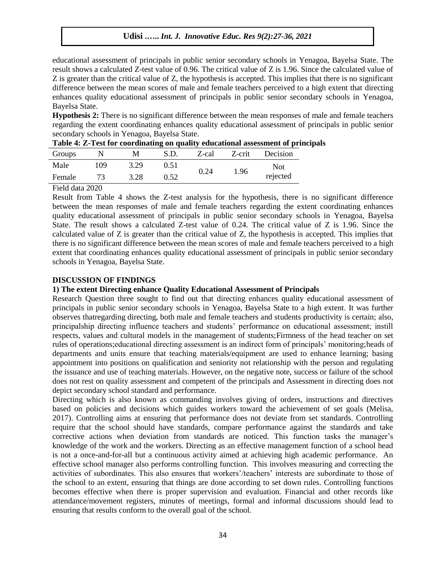educational assessment of principals in public senior secondary schools in Yenagoa, Bayelsa State. The result shows a calculated Z-test value of 0.96. The critical value of Z is 1.96. Since the calculated value of Z is greater than the critical value of Z, the hypothesis is accepted. This implies that there is no significant difference between the mean scores of male and female teachers perceived to a high extent that directing enhances quality educational assessment of principals in public senior secondary schools in Yenagoa, Bayelsa State.

**Hypothesis 2:** There is no significant difference between the mean responses of male and female teachers regarding the extent coordinating enhances quality educational assessment of principals in public senior secondary schools in Yenagoa, Bayelsa State.

|                       |     |      |      |       |        | www.communication.com/ |
|-----------------------|-----|------|------|-------|--------|------------------------|
| Groups                |     | M    | S.D. | Z-cal | Z-crit | <b>Decision</b>        |
| Male                  | 109 | 3.29 | 0.51 | 0.24  | 1.96   | Not                    |
| Female                | 73  | 3.28 | 0.52 |       |        | rejected               |
| $T'$ 11 1 $\sim$ 0000 |     |      |      |       |        |                        |

Field data 2020

Result from Table 4 shows the Z-test analysis for the hypothesis, there is no significant difference between the mean responses of male and female teachers regarding the extent coordinating enhances quality educational assessment of principals in public senior secondary schools in Yenagoa, Bayelsa State. The result shows a calculated Z-test value of 0.24. The critical value of Z is 1.96. Since the calculated value of Z is greater than the critical value of Z, the hypothesis is accepted. This implies that there is no significant difference between the mean scores of male and female teachers perceived to a high extent that coordinating enhances quality educational assessment of principals in public senior secondary schools in Yenagoa, Bayelsa State.

## **DISCUSSION OF FINDINGS**

### **1) The extent Directing enhance Quality Educational Assessment of Principals**

Research Question three sought to find out that directing enhances quality educational assessment of principals in public senior secondary schools in Yenagoa, Bayelsa State to a high extent. It was further observes thatregarding directing, both male and female teachers and students productivity is certain; also, principalship directing influence teachers and students" performance on educational assessment; instill respects, values and cultural models in the management of students;Firmness of the head teacher on set rules of operations;educational directing assessment is an indirect form of principals" monitoring;heads of departments and units ensure that teaching materials/equipment are used to enhance learning; basing appointment into positions on qualification and seniority not relationship with the person and regulating the issuance and use of teaching materials. However, on the negative note, success or failure of the school does not rest on quality assessment and competent of the principals and Assessment in directing does not depict secondary school standard and performance.

Directing which is also known as commanding involves giving of orders, instructions and directives based on policies and decisions which guides workers toward the achievement of set goals (Melisa, 2017). Controlling aims at ensuring that performance does not deviate from set standards. Controlling require that the school should have standards, compare performance against the standards and take corrective actions when deviation from standards are noticed. This function tasks the manager"s knowledge of the work and the workers. Directing as an effective management function of a school head is not a once-and-for-all but a continuous activity aimed at achieving high academic performance. An effective school manager also performs controlling function. This involves measuring and correcting the activities of subordinates. This also ensures that workers"/teachers" interests are subordinate to those of the school to an extent, ensuring that things are done according to set down rules. Controlling functions becomes effective when there is proper supervision and evaluation. Financial and other records like attendance/movement registers, minutes of meetings, formal and informal discussions should lead to ensuring that results conform to the overall goal of the school.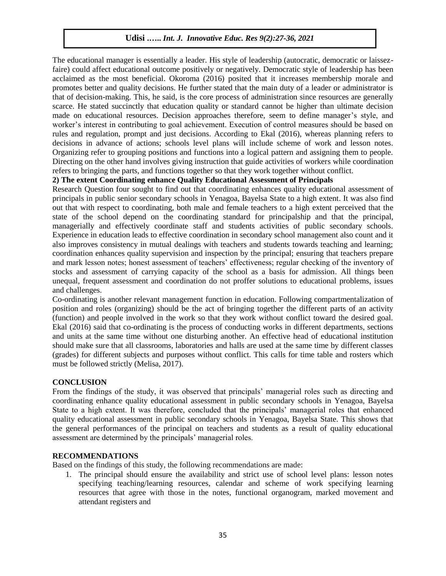The educational manager is essentially a leader. His style of leadership (autocratic, democratic or laissezfaire) could affect educational outcome positively or negatively. Democratic style of leadership has been acclaimed as the most beneficial. Okoroma (2016) posited that it increases membership morale and promotes better and quality decisions. He further stated that the main duty of a leader or administrator is that of decision-making. This, he said, is the core process of administration since resources are generally scarce. He stated succinctly that education quality or standard cannot be higher than ultimate decision made on educational resources. Decision approaches therefore, seem to define manager"s style, and worker"s interest in contributing to goal achievement. Execution of control measures should be based on rules and regulation, prompt and just decisions. According to Ekal (2016), whereas planning refers to decisions in advance of actions; schools level plans will include scheme of work and lesson notes. Organizing refer to grouping positions and functions into a logical pattern and assigning them to people. Directing on the other hand involves giving instruction that guide activities of workers while coordination refers to bringing the parts, and functions together so that they work together without conflict.

## **2) The extent Coordinating enhance Quality Educational Assessment of Principals**

Research Question four sought to find out that coordinating enhances quality educational assessment of principals in public senior secondary schools in Yenagoa, Bayelsa State to a high extent. It was also find out that with respect to coordinating, both male and female teachers to a high extent perceived that the state of the school depend on the coordinating standard for principalship and that the principal, managerially and effectively coordinate staff and students activities of public secondary schools. Experience in education leads to effective coordination in secondary school management also count and it also improves consistency in mutual dealings with teachers and students towards teaching and learning; coordination enhances quality supervision and inspection by the principal; ensuring that teachers prepare and mark lesson notes; honest assessment of teachers" effectiveness; regular checking of the inventory of stocks and assessment of carrying capacity of the school as a basis for admission. All things been unequal, frequent assessment and coordination do not proffer solutions to educational problems, issues and challenges.

Co-ordinating is another relevant management function in education. Following compartmentalization of position and roles (organizing) should be the act of bringing together the different parts of an activity (function) and people involved in the work so that they work without conflict toward the desired goal. Ekal (2016) said that co-ordinating is the process of conducting works in different departments, sections and units at the same time without one disturbing another. An effective head of educational institution should make sure that all classrooms, laboratories and halls are used at the same time by different classes (grades) for different subjects and purposes without conflict. This calls for time table and rosters which must be followed strictly (Melisa, 2017).

## **CONCLUSION**

From the findings of the study, it was observed that principals" managerial roles such as directing and coordinating enhance quality educational assessment in public secondary schools in Yenagoa, Bayelsa State to a high extent. It was therefore, concluded that the principals" managerial roles that enhanced quality educational assessment in public secondary schools in Yenagoa, Bayelsa State. This shows that the general performances of the principal on teachers and students as a result of quality educational assessment are determined by the principals" managerial roles.

## **RECOMMENDATIONS**

Based on the findings of this study, the following recommendations are made:

1. The principal should ensure the availability and strict use of school level plans: lesson notes specifying teaching/learning resources, calendar and scheme of work specifying learning resources that agree with those in the notes, functional organogram, marked movement and attendant registers and